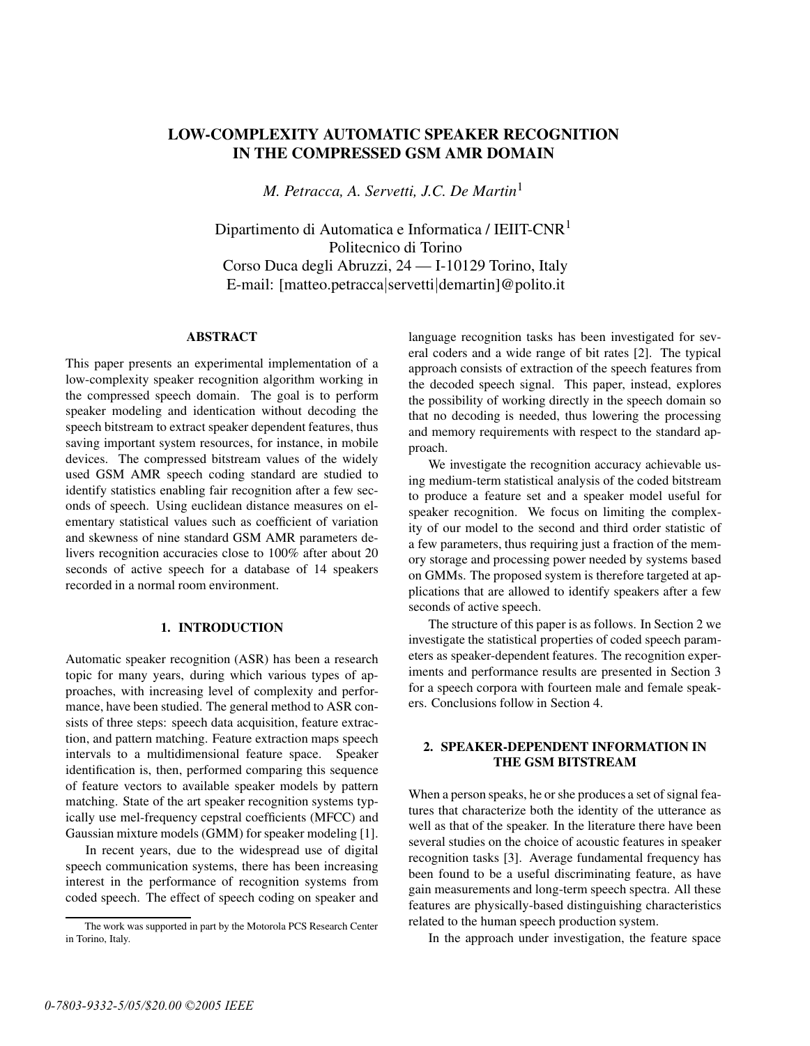# **LOW-COMPLEXITY AUTOMATIC SPEAKER RECOGNITION IN THE COMPRESSED GSM AMR DOMAIN**

*M. Petracca, A. Servetti, J.C. De Martin*<sup>1</sup>

Dipartimento di Automatica e Informatica / IEIIT-CNR<sup>1</sup> Politecnico di Torino Corso Duca degli Abruzzi, 24 — I-10129 Torino, Italy E-mail: [matteo.petracca|servetti|demartin]@polito.it

## **ABSTRACT**

This paper presents an experimental implementation of a low-complexity speaker recognition algorithm working in the compressed speech domain. The goal is to perform speaker modeling and identication without decoding the speech bitstream to extract speaker dependent features, thus saving important system resources, for instance, in mobile devices. The compressed bitstream values of the widely used GSM AMR speech coding standard are studied to identify statistics enabling fair recognition after a few seconds of speech. Using euclidean distance measures on elementary statistical values such as coefficient of variation and skewness of nine standard GSM AMR parameters delivers recognition accuracies close to 100% after about 20 seconds of active speech for a database of 14 speakers recorded in a normal room environment.

## **1. INTRODUCTION**

Automatic speaker recognition (ASR) has been a research topic for many years, during which various types of approaches, with increasing level of complexity and performance, have been studied. The general method to ASR consists of three steps: speech data acquisition, feature extraction, and pattern matching. Feature extraction maps speech intervals to a multidimensional feature space. Speaker identification is, then, performed comparing this sequence of feature vectors to available speaker models by pattern matching. State of the art speaker recognition systems typically use mel-frequency cepstral coefficients (MFCC) and Gaussian mixture models (GMM) for speaker modeling [1].

In recent years, due to the widespread use of digital speech communication systems, there has been increasing interest in the performance of recognition systems from coded speech. The effect of speech coding on speaker and language recognition tasks has been investigated for several coders and a wide range of bit rates [2]. The typical approach consists of extraction of the speech features from the decoded speech signal. This paper, instead, explores the possibility of working directly in the speech domain so that no decoding is needed, thus lowering the processing and memory requirements with respect to the standard approach.

We investigate the recognition accuracy achievable using medium-term statistical analysis of the coded bitstream to produce a feature set and a speaker model useful for speaker recognition. We focus on limiting the complexity of our model to the second and third order statistic of a few parameters, thus requiring just a fraction of the memory storage and processing power needed by systems based on GMMs. The proposed system is therefore targeted at applications that are allowed to identify speakers after a few seconds of active speech.

The structure of this paper is as follows. In Section 2 we investigate the statistical properties of coded speech parameters as speaker-dependent features. The recognition experiments and performance results are presented in Section 3 for a speech corpora with fourteen male and female speakers. Conclusions follow in Section 4.

# **2. SPEAKER-DEPENDENT INFORMATION IN THE GSM BITSTREAM**

When a person speaks, he or she produces a set of signal features that characterize both the identity of the utterance as well as that of the speaker. In the literature there have been several studies on the choice of acoustic features in speaker recognition tasks [3]. Average fundamental frequency has been found to be a useful discriminating feature, as have gain measurements and long-term speech spectra. All these features are physically-based distinguishing characteristics related to the human speech production system.

In the approach under investigation, the feature space

The work was supported in part by the Motorola PCS Research Center in Torino, Italy.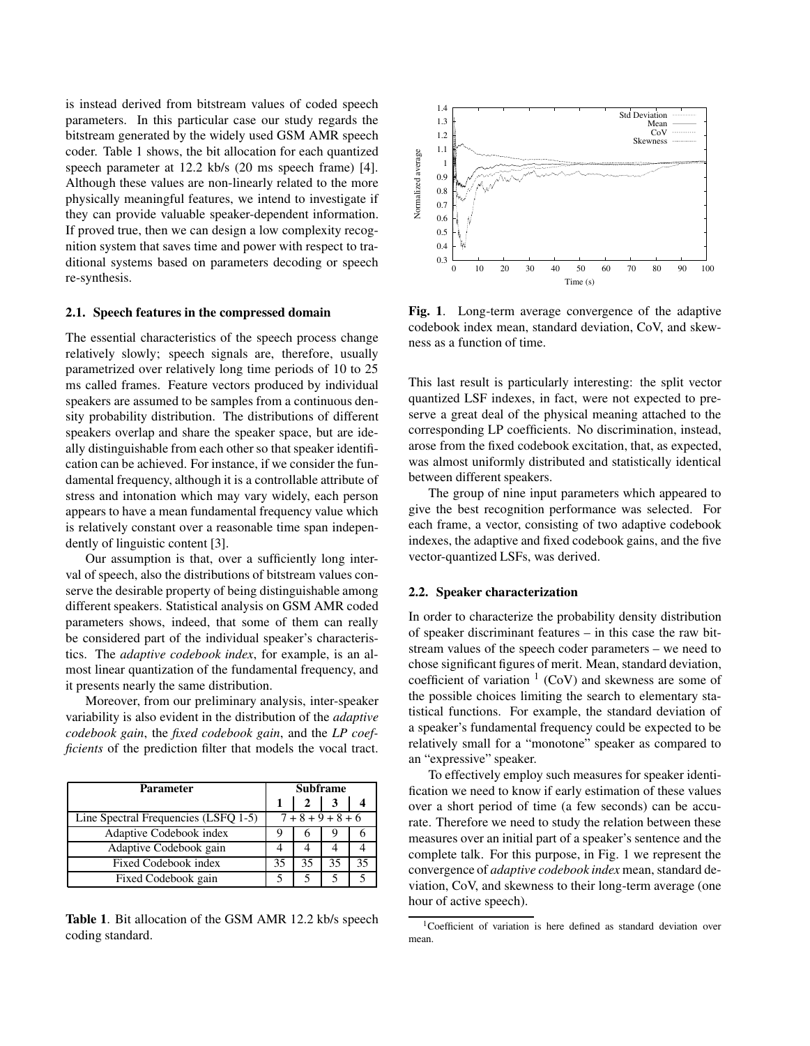is instead derived from bitstream values of coded speech parameters. In this particular case our study regards the bitstream generated by the widely used GSM AMR speech coder. Table 1 shows, the bit allocation for each quantized speech parameter at 12.2 kb/s (20 ms speech frame) [4]. Although these values are non-linearly related to the more physically meaningful features, we intend to investigate if they can provide valuable speaker-dependent information. If proved true, then we can design a low complexity recognition system that saves time and power with respect to traditional systems based on parameters decoding or speech re-synthesis.

#### **2.1. Speech features in the compressed domain**

The essential characteristics of the speech process change relatively slowly; speech signals are, therefore, usually parametrized over relatively long time periods of 10 to 25 ms called frames. Feature vectors produced by individual speakers are assumed to be samples from a continuous density probability distribution. The distributions of different speakers overlap and share the speaker space, but are ideally distinguishable from each other so that speaker identification can be achieved. For instance, if we consider the fundamental frequency, although it is a controllable attribute of stress and intonation which may vary widely, each person appears to have a mean fundamental frequency value which is relatively constant over a reasonable time span independently of linguistic content [3].

Our assumption is that, over a sufficiently long interval of speech, also the distributions of bitstream values conserve the desirable property of being distinguishable among different speakers. Statistical analysis on GSM AMR coded parameters shows, indeed, that some of them can really be considered part of the individual speaker's characteristics. The *adaptive codebook index*, for example, is an almost linear quantization of the fundamental frequency, and it presents nearly the same distribution.

Moreover, from our preliminary analysis, inter-speaker variability is also evident in the distribution of the *adaptive codebook gain*, the *fixed codebook gain*, and the *LP coefficients* of the prediction filter that models the vocal tract.

| <b>Parameter</b>                     | <b>Subframe</b>     |              |    |    |
|--------------------------------------|---------------------|--------------|----|----|
|                                      |                     | $\mathbf{2}$ |    |    |
| Line Spectral Frequencies (LSFQ 1-5) | $7 + 8 + 9 + 8 + 6$ |              |    |    |
| Adaptive Codebook index              |                     | n            |    |    |
| Adaptive Codebook gain               |                     |              |    |    |
| Fixed Codebook index                 | 35                  | 35           | 35 | 35 |
| Fixed Codebook gain                  |                     |              |    |    |

**Table 1**. Bit allocation of the GSM AMR 12.2 kb/s speech coding standard.



**Fig. 1**. Long-term average convergence of the adaptive codebook index mean, standard deviation, CoV, and skewness as a function of time.

This last result is particularly interesting: the split vector quantized LSF indexes, in fact, were not expected to preserve a great deal of the physical meaning attached to the corresponding LP coefficients. No discrimination, instead, arose from the fixed codebook excitation, that, as expected, was almost uniformly distributed and statistically identical between different speakers.

The group of nine input parameters which appeared to give the best recognition performance was selected. For each frame, a vector, consisting of two adaptive codebook indexes, the adaptive and fixed codebook gains, and the five vector-quantized LSFs, was derived.

#### **2.2. Speaker characterization**

In order to characterize the probability density distribution of speaker discriminant features – in this case the raw bitstream values of the speech coder parameters – we need to chose significant figures of merit. Mean, standard deviation, coefficient of variation  $1$  (CoV) and skewness are some of the possible choices limiting the search to elementary statistical functions. For example, the standard deviation of a speaker's fundamental frequency could be expected to be relatively small for a "monotone" speaker as compared to an "expressive" speaker.

To effectively employ such measures for speaker identification we need to know if early estimation of these values over a short period of time (a few seconds) can be accurate. Therefore we need to study the relation between these measures over an initial part of a speaker's sentence and the complete talk. For this purpose, in Fig. 1 we represent the convergence of *adaptive codebook index* mean, standard deviation, CoV, and skewness to their long-term average (one hour of active speech).

<sup>1</sup>Coefficient of variation is here defined as standard deviation over mean.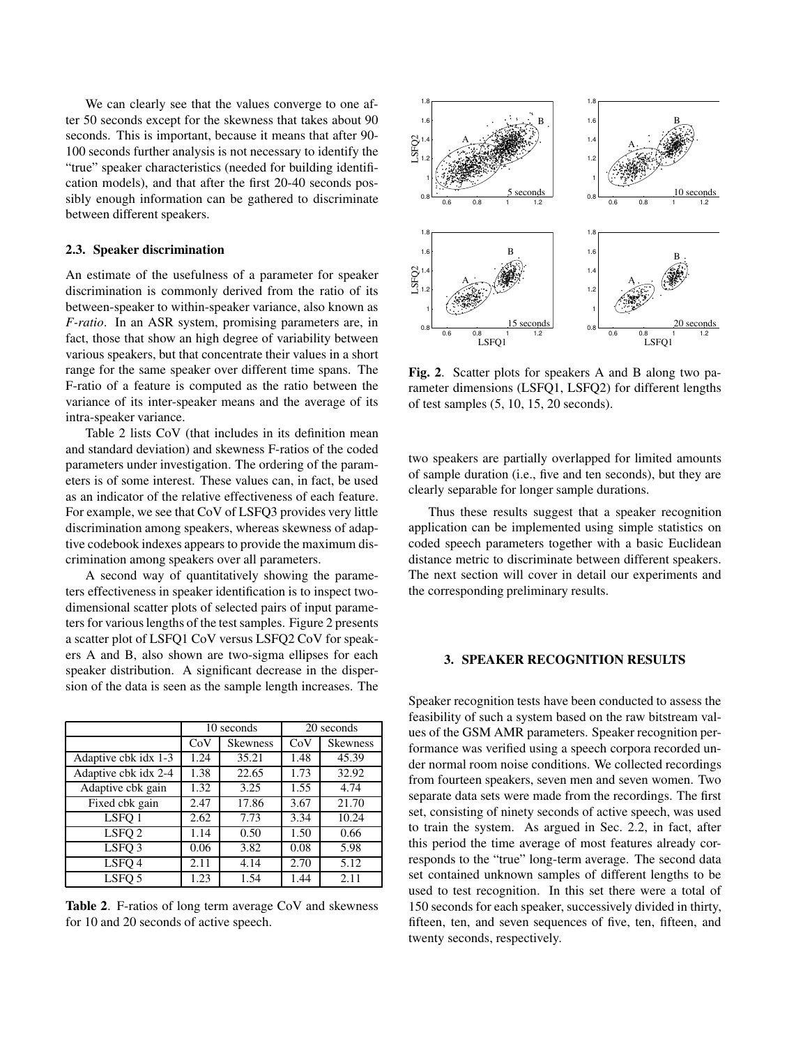We can clearly see that the values converge to one after 50 seconds except for the skewness that takes about 90 seconds. This is important, because it means that after 90- 100 seconds further analysis is not necessary to identify the "true" speaker characteristics (needed for building identification models), and that after the first 20-40 seconds possibly enough information can be gathered to discriminate between different speakers.

### **2.3. Speaker discrimination**

An estimate of the usefulness of a parameter for speaker discrimination is commonly derived from the ratio of its between-speaker to within-speaker variance, also known as *F-ratio*. In an ASR system, promising parameters are, in fact, those that show an high degree of variability between various speakers, but that concentrate their values in a short range for the same speaker over different time spans. The F-ratio of a feature is computed as the ratio between the variance of its inter-speaker means and the average of its intra-speaker variance.

Table 2 lists CoV (that includes in its definition mean and standard deviation) and skewness F-ratios of the coded parameters under investigation. The ordering of the parameters is of some interest. These values can, in fact, be used as an indicator of the relative effectiveness of each feature. For example, we see that CoV of LSFQ3 provides very little discrimination among speakers, whereas skewness of adaptive codebook indexes appears to provide the maximum discrimination among speakers over all parameters.

A second way of quantitatively showing the parameters effectiveness in speaker identification is to inspect twodimensional scatter plots of selected pairs of input parameters for various lengths of the test samples. Figure 2 presents a scatter plot of LSFQ1 CoV versus LSFQ2 CoV for speakers A and B, also shown are two-sigma ellipses for each speaker distribution. A significant decrease in the dispersion of the data is seen as the sample length increases. The

|                      | 10 seconds |                 | 20 seconds |                 |
|----------------------|------------|-----------------|------------|-----------------|
|                      | CoV        | <b>Skewness</b> | CoV        | <b>Skewness</b> |
| Adaptive cbk idx 1-3 | 1.24       | 35.21           | 1.48       | 45.39           |
| Adaptive cbk idx 2-4 | 1.38       | 22.65           | 1.73       | 32.92           |
| Adaptive cbk gain    | 1.32       | 3.25            | 1.55       | 4.74            |
| Fixed cbk gain       | 2.47       | 17.86           | 3.67       | 21.70           |
| LSFO <sub>1</sub>    | 2.62       | 7.73            | 3.34       | 10.24           |
| LSFQ 2               | 1.14       | 0.50            | 1.50       | 0.66            |
| LSFO <sub>3</sub>    | 0.06       | 3.82            | 0.08       | 5.98            |
| LSFO <sub>4</sub>    | 2.11       | 4.14            | 2.70       | 5.12            |
| LSFO <sub>5</sub>    | 1.23       | 1.54            | 1.44       | 2.11            |

**Table 2**. F-ratios of long term average CoV and skewness for 10 and 20 seconds of active speech.



**Fig. 2**. Scatter plots for speakers A and B along two parameter dimensions (LSFQ1, LSFQ2) for different lengths of test samples (5, 10, 15, 20 seconds).

two speakers are partially overlapped for limited amounts of sample duration (i.e., five and ten seconds), but they are clearly separable for longer sample durations.

Thus these results suggest that a speaker recognition application can be implemented using simple statistics on coded speech parameters together with a basic Euclidean distance metric to discriminate between different speakers. The next section will cover in detail our experiments and the corresponding preliminary results.

## **3. SPEAKER RECOGNITION RESULTS**

Speaker recognition tests have been conducted to assess the feasibility of such a system based on the raw bitstream values of the GSM AMR parameters. Speaker recognition performance was verified using a speech corpora recorded under normal room noise conditions. We collected recordings from fourteen speakers, seven men and seven women. Two separate data sets were made from the recordings. The first set, consisting of ninety seconds of active speech, was used to train the system. As argued in Sec. 2.2, in fact, after this period the time average of most features already corresponds to the "true" long-term average. The second data set contained unknown samples of different lengths to be used to test recognition. In this set there were a total of 150 seconds for each speaker, successively divided in thirty, fifteen, ten, and seven sequences of five, ten, fifteen, and twenty seconds, respectively.